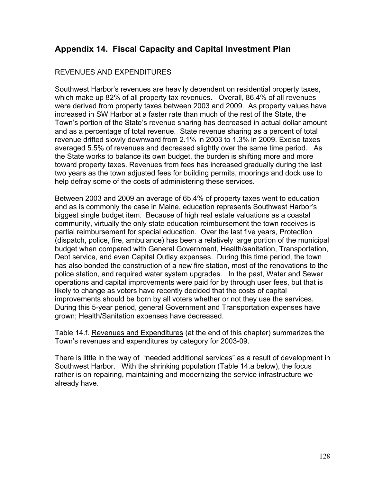## **Appendix 14. Fiscal Capacity and Capital Investment Plan**

#### REVENUES AND EXPENDITURES

Southwest Harbor's revenues are heavily dependent on residential property taxes, which make up 82% of all property tax revenues. Overall, 86.4% of all revenues were derived from property taxes between 2003 and 2009. As property values have increased in SW Harbor at a faster rate than much of the rest of the State, the Town's portion of the State's revenue sharing has decreased in actual dollar amount and as a percentage of total revenue. State revenue sharing as a percent of total revenue drifted slowly downward from 2.1% in 2003 to 1.3% in 2009. Excise taxes averaged 5.5% of revenues and decreased slightly over the same time period. As the State works to balance its own budget, the burden is shifting more and more toward property taxes. Revenues from fees has increased gradually during the last two years as the town adjusted fees for building permits, moorings and dock use to help defray some of the costs of administering these services.

Between 2003 and 2009 an average of 65.4% of property taxes went to education and as is commonly the case in Maine, education represents Southwest Harbor's biggest single budget item. Because of high real estate valuations as a coastal community, virtually the only state education reimbursement the town receives is partial reimbursement for special education. Over the last five years, Protection (dispatch, police, fire, ambulance) has been a relatively large portion of the municipal budget when compared with General Government, Health/sanitation, Transportation, Debt service, and even Capital Outlay expenses. During this time period, the town has also bonded the construction of a new fire station, most of the renovations to the police station, and required water system upgrades. In the past, Water and Sewer operations and capital improvements were paid for by through user fees, but that is likely to change as voters have recently decided that the costs of capital improvements should be born by all voters whether or not they use the services. During this 5-year period, general Government and Transportation expenses have grown; Health/Sanitation expenses have decreased.

Table 14.f. Revenues and Expenditures (at the end of this chapter) summarizes the Town's revenues and expenditures by category for 2003-09.

There is little in the way of "needed additional services" as a result of development in Southwest Harbor. With the shrinking population (Table 14.a below), the focus rather is on repairing, maintaining and modernizing the service infrastructure we already have.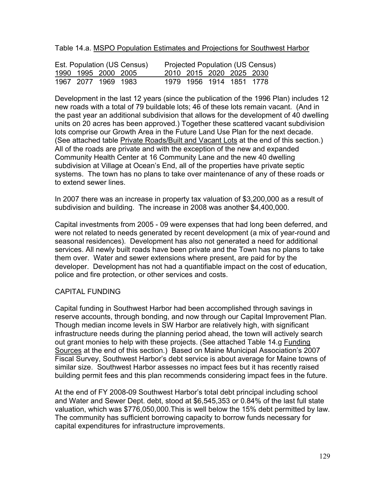Table 14.a. MSPO Population Estimates and Projections for Southwest Harbor

| Est. Population (US Census) |                     |  |  |  | <b>Projected Population (US Census)</b> |  |
|-----------------------------|---------------------|--|--|--|-----------------------------------------|--|
|                             | 1990 1995 2000 2005 |  |  |  | 2010 2015 2020 2025 2030                |  |
|                             | 1967 2077 1969 1983 |  |  |  | 1979 1956 1914 1851 1778                |  |

Development in the last 12 years (since the publication of the 1996 Plan) includes 12 new roads with a total of 79 buildable lots; 46 of these lots remain vacant. (And in the past year an additional subdivision that allows for the development of 40 dwelling units on 20 acres has been approved.) Together these scattered vacant subdivision lots comprise our Growth Area in the Future Land Use Plan for the next decade. (See attached table Private Roads/Built and Vacant Lots at the end of this section.) All of the roads are private and with the exception of the new and expanded Community Health Center at 16 Community Lane and the new 40 dwelling subdivision at Village at Ocean's End, all of the properties have private septic systems. The town has no plans to take over maintenance of any of these roads or to extend sewer lines.

In 2007 there was an increase in property tax valuation of \$3,200,000 as a result of subdivision and building. The increase in 2008 was another \$4,400,000.

Capital investments from 2005 - 09 were expenses that had long been deferred, and were not related to needs generated by recent development (a mix of year-round and seasonal residences). Development has also not generated a need for additional services. All newly built roads have been private and the Town has no plans to take them over. Water and sewer extensions where present, are paid for by the developer. Development has not had a quantifiable impact on the cost of education, police and fire protection, or other services and costs.

### CAPITAL FUNDING

Capital funding in Southwest Harbor had been accomplished through savings in reserve accounts, through bonding, and now through our Capital Improvement Plan. Though median income levels in SW Harbor are relatively high, with significant infrastructure needs during the planning period ahead, the town will actively search out grant monies to help with these projects. (See attached Table 14.g Funding Sources at the end of this section.) Based on Maine Municipal Association's 2007 Fiscal Survey, Southwest Harbor's debt service is about average for Maine towns of similar size. Southwest Harbor assesses no impact fees but it has recently raised building permit fees and this plan recommends considering impact fees in the future.

At the end of FY 2008-09 Southwest Harbor's total debt principal including school and Water and Sewer Dept. debt, stood at \$6,545,353 or 0.84% of the last full state valuation, which was \$776,050,000.This is well below the 15% debt permitted by law. The community has sufficient borrowing capacity to borrow funds necessary for capital expenditures for infrastructure improvements.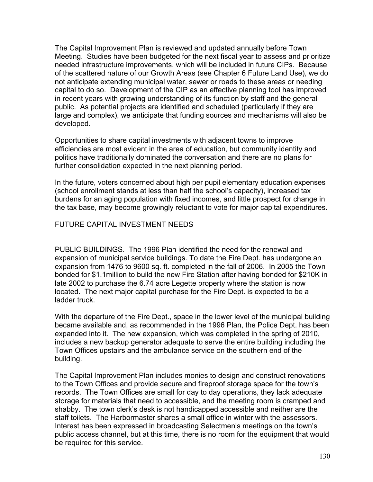The Capital Improvement Plan is reviewed and updated annually before Town Meeting. Studies have been budgeted for the next fiscal year to assess and prioritize needed infrastructure improvements, which will be included in future CIPs. Because of the scattered nature of our Growth Areas (see Chapter 6 Future Land Use), we do not anticipate extending municipal water, sewer or roads to these areas or needing capital to do so. Development of the CIP as an effective planning tool has improved in recent years with growing understanding of its function by staff and the general public. As potential projects are identified and scheduled (particularly if they are large and complex), we anticipate that funding sources and mechanisms will also be developed.

Opportunities to share capital investments with adjacent towns to improve efficiencies are most evident in the area of education, but community identity and politics have traditionally dominated the conversation and there are no plans for further consolidation expected in the next planning period.

In the future, voters concerned about high per pupil elementary education expenses (school enrollment stands at less than half the school's capacity), increased tax burdens for an aging population with fixed incomes, and little prospect for change in the tax base, may become growingly reluctant to vote for major capital expenditures.

### FUTURE CAPITAL INVESTMENT NEEDS

PUBLIC BUILDINGS. The 1996 Plan identified the need for the renewal and expansion of municipal service buildings. To date the Fire Dept. has undergone an expansion from 1476 to 9600 sq. ft. completed in the fall of 2006. In 2005 the Town bonded for \$1.1million to build the new Fire Station after having bonded for \$210K in late 2002 to purchase the 6.74 acre Legette property where the station is now located. The next major capital purchase for the Fire Dept. is expected to be a ladder truck.

With the departure of the Fire Dept., space in the lower level of the municipal building became available and, as recommended in the 1996 Plan, the Police Dept. has been expanded into it. The new expansion, which was completed in the spring of 2010, includes a new backup generator adequate to serve the entire building including the Town Offices upstairs and the ambulance service on the southern end of the building.

The Capital Improvement Plan includes monies to design and construct renovations to the Town Offices and provide secure and fireproof storage space for the town's records. The Town Offices are small for day to day operations, they lack adequate storage for materials that need to accessible, and the meeting room is cramped and shabby. The town clerk's desk is not handicapped accessible and neither are the staff toilets. The Harbormaster shares a small office in winter with the assessors. Interest has been expressed in broadcasting Selectmen's meetings on the town's public access channel, but at this time, there is no room for the equipment that would be required for this service.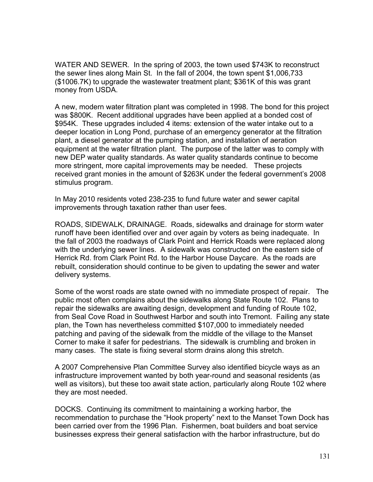WATER AND SEWER. In the spring of 2003, the town used \$743K to reconstruct the sewer lines along Main St. In the fall of 2004, the town spent \$1,006,733 (\$1006.7K) to upgrade the wastewater treatment plant; \$361K of this was grant money from USDA.

A new, modern water filtration plant was completed in 1998. The bond for this project was \$800K. Recent additional upgrades have been applied at a bonded cost of \$954K. These upgrades included 4 items: extension of the water intake out to a deeper location in Long Pond, purchase of an emergency generator at the filtration plant, a diesel generator at the pumping station, and installation of aeration equipment at the water filtration plant. The purpose of the latter was to comply with new DEP water quality standards. As water quality standards continue to become more stringent, more capital improvements may be needed. These projects received grant monies in the amount of \$263K under the federal government's 2008 stimulus program.

In May 2010 residents voted 238-235 to fund future water and sewer capital improvements through taxation rather than user fees.

ROADS, SIDEWALK, DRAINAGE. Roads, sidewalks and drainage for storm water runoff have been identified over and over again by voters as being inadequate. In the fall of 2003 the roadways of Clark Point and Herrick Roads were replaced along with the underlying sewer lines. A sidewalk was constructed on the eastern side of Herrick Rd. from Clark Point Rd. to the Harbor House Daycare. As the roads are rebuilt, consideration should continue to be given to updating the sewer and water delivery systems.

Some of the worst roads are state owned with no immediate prospect of repair. The public most often complains about the sidewalks along State Route 102. Plans to repair the sidewalks are awaiting design, development and funding of Route 102, from Seal Cove Road in Southwest Harbor and south into Tremont. Failing any state plan, the Town has nevertheless committed \$107,000 to immediately needed patching and paving of the sidewalk from the middle of the village to the Manset Corner to make it safer for pedestrians. The sidewalk is crumbling and broken in many cases. The state is fixing several storm drains along this stretch.

A 2007 Comprehensive Plan Committee Survey also identified bicycle ways as an infrastructure improvement wanted by both year-round and seasonal residents (as well as visitors), but these too await state action, particularly along Route 102 where they are most needed.

DOCKS. Continuing its commitment to maintaining a working harbor, the recommendation to purchase the "Hook property" next to the Manset Town Dock has been carried over from the 1996 Plan. Fishermen, boat builders and boat service businesses express their general satisfaction with the harbor infrastructure, but do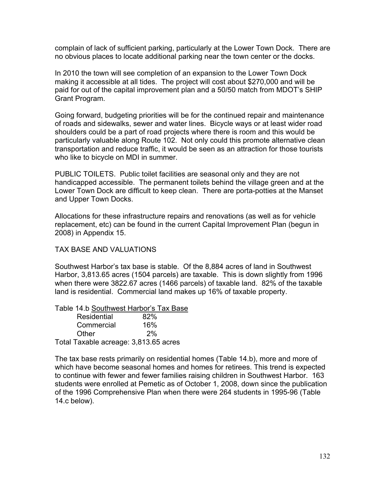complain of lack of sufficient parking, particularly at the Lower Town Dock. There are no obvious places to locate additional parking near the town center or the docks.

In 2010 the town will see completion of an expansion to the Lower Town Dock making it accessible at all tides. The project will cost about \$270,000 and will be paid for out of the capital improvement plan and a 50/50 match from MDOT's SHIP Grant Program.

Going forward, budgeting priorities will be for the continued repair and maintenance of roads and sidewalks, sewer and water lines. Bicycle ways or at least wider road shoulders could be a part of road projects where there is room and this would be particularly valuable along Route 102. Not only could this promote alternative clean transportation and reduce traffic, it would be seen as an attraction for those tourists who like to bicycle on MDI in summer.

PUBLIC TOILETS. Public toilet facilities are seasonal only and they are not handicapped accessible. The permanent toilets behind the village green and at the Lower Town Dock are difficult to keep clean. There are porta-potties at the Manset and Upper Town Docks.

Allocations for these infrastructure repairs and renovations (as well as for vehicle replacement, etc) can be found in the current Capital Improvement Plan (begun in 2008) in Appendix 15.

#### TAX BASE AND VALUATIONS

Southwest Harbor's tax base is stable. Of the 8,884 acres of land in Southwest Harbor, 3,813.65 acres (1504 parcels) are taxable. This is down slightly from 1996 when there were 3822.67 acres (1466 parcels) of taxable land. 82% of the taxable land is residential. Commercial land makes up 16% of taxable property.

| Table 14.b Southwest Harbor's Tax Base |     |
|----------------------------------------|-----|
| Residential                            | 82% |
| Commercial                             | 16% |
| Other                                  | 2%  |
| Total Taxable acreage: 3,813.65 acres  |     |

The tax base rests primarily on residential homes (Table 14.b), more and more of which have become seasonal homes and homes for retirees. This trend is expected to continue with fewer and fewer families raising children in Southwest Harbor. 163 students were enrolled at Pemetic as of October 1, 2008, down since the publication of the 1996 Comprehensive Plan when there were 264 students in 1995-96 (Table 14.c below).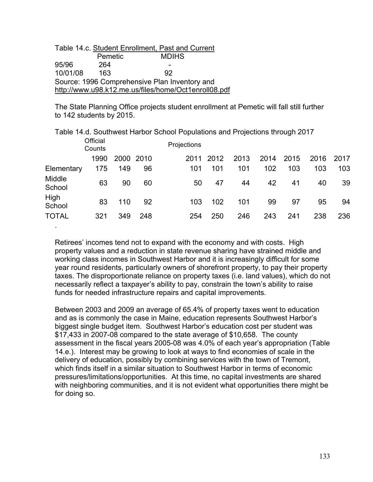|                                               |         | Table 14.c. Student Enrollment, Past and Current     |  |  |  |
|-----------------------------------------------|---------|------------------------------------------------------|--|--|--|
|                                               | Pemetic | <b>MDIHS</b>                                         |  |  |  |
| 95/96                                         | 264     |                                                      |  |  |  |
| 10/01/08                                      | 163     | 92.                                                  |  |  |  |
| Source: 1996 Comprehensive Plan Inventory and |         |                                                      |  |  |  |
|                                               |         | http://www.u98.k12.me.us/files/home/Oct1enroll08.pdf |  |  |  |

.

The State Planning Office projects student enrollment at Pemetic will fall still further to 142 students by 2015.

|                  |                    |      |       | Table 14.d. Southwest Harbor School Populations and Projections through 2017 |      |      |      |      |      |      |
|------------------|--------------------|------|-------|------------------------------------------------------------------------------|------|------|------|------|------|------|
|                  | Official<br>Counts |      |       | Projections                                                                  |      |      |      |      |      |      |
|                  | 1990               | 2000 | -2010 | 2011                                                                         | 2012 | 2013 | 2014 | 2015 | 2016 | 2017 |
| Elementary       | 175                | 149  | 96    | 101                                                                          | 101  | 101  | 102  | 103  | 103  | 103  |
| Middle<br>School | 63                 | 90   | 60    | 50                                                                           | 47   | 44   | 42   | 41   | 40   | 39   |
| High<br>School   | 83                 | 110  | 92    | 103                                                                          | 102  | 101  | 99   | 97   | 95   | 94   |
| <b>TOTAL</b>     | 321                | 349  | 248   | 254                                                                          | 250  | 246  | 243  | 241  | 238  | 236  |

Retirees' incomes tend not to expand with the economy and with costs. High property values and a reduction in state revenue sharing have strained middle and working class incomes in Southwest Harbor and it is increasingly difficult for some year round residents, particularly owners of shorefront property, to pay their property taxes. The disproportionate reliance on property taxes (i.e. land values), which do not necessarily reflect a taxpayer's ability to pay, constrain the town's ability to raise funds for needed infrastructure repairs and capital improvements.

Between 2003 and 2009 an average of 65.4% of property taxes went to education and as is commonly the case in Maine, education represents Southwest Harbor's biggest single budget item. Southwest Harbor's education cost per student was \$17,433 in 2007-08 compared to the state average of \$10,658. The county assessment in the fiscal years 2005-08 was 4.0% of each year's appropriation (Table 14.e.). Interest may be growing to look at ways to find economies of scale in the delivery of education, possibly by combining services with the town of Tremont, which finds itself in a similar situation to Southwest Harbor in terms of economic pressures/limitations/opportunities. At this time, no capital investments are shared with neighboring communities, and it is not evident what opportunities there might be for doing so.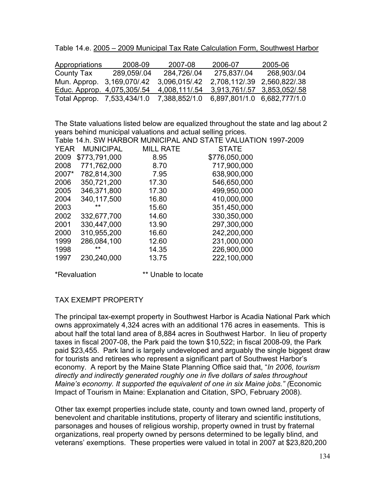Table 14.e. 2005 – 2009 Municipal Tax Rate Calculation Form, Southwest Harbor

| Appropriations               | 2008-09    | 2007-08       | 2006-07                                   | 2005-06                     |
|------------------------------|------------|---------------|-------------------------------------------|-----------------------------|
| County Tax                   | 289,059/04 | 284,726/.04   | 275,837/.04                               | 268,903/.04                 |
| Mun. Approp. 3, 169, 070/.42 |            | 3.096.015/42  |                                           | 2,708,112/.39 2,560,822/.38 |
| Educ. Approp. 4,075,305/.54  |            |               | 4,008,111/.54 3,913,761/.57 3,853,052/.58 |                             |
| Total Approp. 7,533,434/1.0  |            | 7,388,852/1.0 | 6,897,801/1.0 6,682,777/1.0               |                             |

The State valuations listed below are equalized throughout the state and lag about 2 years behind municipal valuations and actual selling prices.

|             |                  |                  | Table 14.h. SW HARBOR MUNICIPAL AND STATE VALUATION 1997-2009 |
|-------------|------------------|------------------|---------------------------------------------------------------|
| <b>YEAR</b> | <b>MUNICIPAL</b> | <b>MILL RATE</b> | <b>STATE</b>                                                  |
| 2009        | \$773,791,000    | 8.95             | \$776,050,000                                                 |
| 2008        | 771,762,000      | 8.70             | 717,900,000                                                   |
| 2007*       | 782,814,300      | 7.95             | 638,900,000                                                   |
| 2006        | 350,721,200      | 17.30            | 546,650,000                                                   |
| 2005        | 346,371,800      | 17.30            | 499,950,000                                                   |
| 2004        | 340,117,500      | 16.80            | 410,000,000                                                   |
| 2003        | $***$            | 15.60            | 351,450,000                                                   |
| 2002        | 332,677,700      | 14.60            | 330,350,000                                                   |
| 2001        | 330,447,000      | 13.90            | 297,300,000                                                   |
| 2000        | 310,955,200      | 16.60            | 242,200,000                                                   |
| 1999        | 286,084,100      | 12.60            | 231,000,000                                                   |
| 1998        | $***$            | 14.35            | 226,900,000                                                   |
| 1997        | 230,240,000      | 13.75            | 222,100,000                                                   |
|             |                  |                  |                                                               |

\*Revaluation \*\* Unable to locate

### TAX EXEMPT PROPERTY

The principal tax-exempt property in Southwest Harbor is Acadia National Park which owns approximately 4,324 acres with an additional 176 acres in easements. This is about half the total land area of 8,884 acres in Southwest Harbor. In lieu of property taxes in fiscal 2007-08, the Park paid the town \$10,522; in fiscal 2008-09, the Park paid \$23,455. Park land is largely undeveloped and arguably the single biggest draw for tourists and retirees who represent a significant part of Southwest Harbor's economy. A report by the Maine State Planning Office said that, "*In 2006, tourism directly and indirectly generated roughly one in five dollars of sales throughout Maine's economy. It supported the equivalent of one in six Maine jobs." (*Economic Impact of Tourism in Maine: Explanation and Citation, SPO, February 2008).

Other tax exempt properties include state, county and town owned land, property of benevolent and charitable institutions, property of literary and scientific institutions, parsonages and houses of religious worship, property owned in trust by fraternal organizations, real property owned by persons determined to be legally blind, and veterans' exemptions. These properties were valued in total in 2007 at \$23,820,200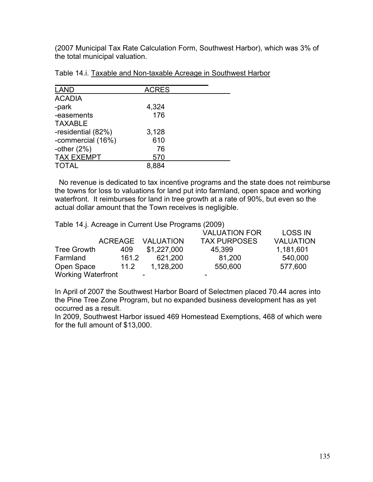(2007 Municipal Tax Rate Calculation Form, Southwest Harbor), which was 3% of the total municipal valuation.

| <b>LAND</b>        | <b>ACRES</b> |  |
|--------------------|--------------|--|
| <b>ACADIA</b>      |              |  |
| -park              | 4,324        |  |
| -easements         | 176          |  |
| <b>TAXABLE</b>     |              |  |
| -residential (82%) | 3,128        |  |
| -commercial (16%)  | 610          |  |
| -other $(2%)$      | 76           |  |
| <b>TAX EXEMPT</b>  | 570          |  |
| <b>TOTAL</b>       | 8.884        |  |

| Table 14.i. Taxable and Non-taxable Acreage in Southwest Harbor |
|-----------------------------------------------------------------|
|-----------------------------------------------------------------|

 No revenue is dedicated to tax incentive programs and the state does not reimburse the towns for loss to valuations for land put into farmland, open space and working waterfront. It reimburses for land in tree growth at a rate of 90%, but even so the actual dollar amount that the Town receives is negligible.

Table 14.j. Acreage in Current Use Programs (2009)

|                           |       |                          | <b>VALUATION FOR</b> | <b>LOSS IN</b>   |
|---------------------------|-------|--------------------------|----------------------|------------------|
|                           |       | ACREAGE VALUATION        | <b>TAX PURPOSES</b>  | <b>VALUATION</b> |
| <b>Tree Growth</b>        | 409   | \$1,227,000              | 45.399               | 1,181,601        |
| Farmland                  | 161.2 | 621,200                  | 81,200               | 540,000          |
| Open Space                | 11.2  | 1,128,200                | 550,600              | 577,600          |
| <b>Working Waterfront</b> |       | $\overline{\phantom{0}}$ | -                    |                  |

In April of 2007 the Southwest Harbor Board of Selectmen placed 70.44 acres into the Pine Tree Zone Program, but no expanded business development has as yet occurred as a result.

In 2009, Southwest Harbor issued 469 Homestead Exemptions, 468 of which were for the full amount of \$13,000.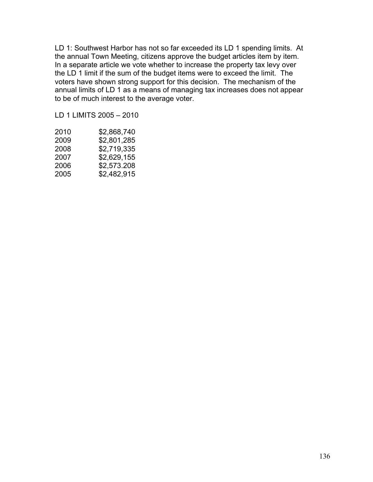LD 1: Southwest Harbor has not so far exceeded its LD 1 spending limits. At the annual Town Meeting, citizens approve the budget articles item by item. In a separate article we vote whether to increase the property tax levy over the LD 1 limit if the sum of the budget items were to exceed the limit. The voters have shown strong support for this decision. The mechanism of the annual limits of LD 1 as a means of managing tax increases does not appear to be of much interest to the average voter.

LD 1 LIMITS 2005 – 2010

| 2010 | \$2,868,740 |
|------|-------------|
| 2009 | \$2,801,285 |
| 2008 | \$2,719,335 |
| 2007 | \$2,629,155 |
| 2006 | \$2,573.208 |
| 2005 | \$2,482,915 |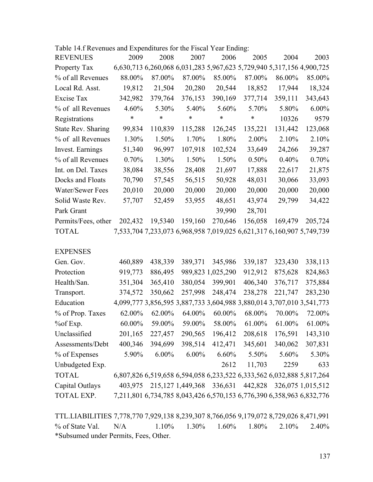| Table 14.f Revenues and Expenditures for the Fiscal Year Ending: |          |         |         |         |                                                                       |         |         |
|------------------------------------------------------------------|----------|---------|---------|---------|-----------------------------------------------------------------------|---------|---------|
| <b>REVENUES</b>                                                  | 2009     | 2008    | 2007    | 2006    | 2005                                                                  | 2004    | 2003    |
| Property Tax                                                     |          |         |         |         | 6,630,713 6,260,068 6,031,283 5,967,623 5,729,940 5,317,156 4,900,725 |         |         |
| % of all Revenues                                                | 88.00%   | 87.00%  | 87.00%  | 85.00%  | 87.00%                                                                | 86.00%  | 85.00%  |
| Local Rd. Asst.                                                  | 19,812   | 21,504  | 20,280  | 20,544  | 18,852                                                                | 17,944  | 18,324  |
| Excise Tax                                                       | 342,982  | 379,764 | 376,153 | 390,169 | 377,714                                                               | 359,111 | 343,643 |
| % of all Revenues                                                | $4.60\%$ | 5.30%   | 5.40%   | 5.60%   | 5.70%                                                                 | 5.80%   | 6.00%   |
| Registrations                                                    | $\ast$   | $\ast$  | $\ast$  | $\ast$  | $\ast$                                                                | 10326   | 9579    |
| <b>State Rev. Sharing</b>                                        | 99,834   | 110,839 | 115,288 | 126,245 | 135,221                                                               | 131,442 | 123,068 |
| % of all Revenues                                                | 1.30%    | 1.50%   | 1.70%   | 1.80%   | 2.00%                                                                 | 2.10%   | 2.10%   |
| Invest. Earnings                                                 | 51,340   | 96,997  | 107,918 | 102,524 | 33,649                                                                | 24,266  | 39,287  |
| % of all Revenues                                                | 0.70%    | 1.30%   | 1.50%   | 1.50%   | $0.50\%$                                                              | 0.40%   | 0.70%   |
| Int. on Del. Taxes                                               | 38,084   | 38,556  | 28,408  | 21,697  | 17,888                                                                | 22,617  | 21,875  |
| Docks and Floats                                                 | 70,790   | 57,545  | 56,515  | 50,928  | 48,031                                                                | 30,066  | 33,093  |
| Water/Sewer Fees                                                 | 20,010   | 20,000  | 20,000  | 20,000  | 20,000                                                                | 20,000  | 20,000  |
| Solid Waste Rev.                                                 | 57,707   | 52,459  | 53,955  | 48,651  | 43,974                                                                | 29,799  | 34,422  |
| Park Grant                                                       |          |         |         | 39,990  | 28,701                                                                |         |         |
| Permits/Fees, other                                              | 202,432  | 19,5340 | 159,160 | 270,646 | 156,058                                                               | 169,479 | 205,724 |
| <b>TOTAL</b>                                                     |          |         |         |         | 7,533,704 7,233,073 6,968,958 7,019,025 6,621,317 6,160,907 5,749,739 |         |         |
|                                                                  |          |         |         |         |                                                                       |         |         |

EXPENSES

| Gen. Gov.         | 460,889 | 438,339  | 389,371              | 345,986              | 339,187 | 323,430                                                               | 338,113           |
|-------------------|---------|----------|----------------------|----------------------|---------|-----------------------------------------------------------------------|-------------------|
| Protection        | 919,773 | 886,495  |                      | 989, 823 1, 025, 290 | 912,912 | 875,628                                                               | 824,863           |
| Health/San.       | 351,304 | 365,410  | 380,054              | 399,901              | 406,340 | 376,717                                                               | 375,884           |
| Transport.        | 374,572 | 350,662  | 257,998              | 248,474              | 238,278 | 221,747                                                               | 283,230           |
| Education         |         |          |                      |                      |         | 4,099,777 3,856,595 3,887,733 3,604,988 3,880,014 3,707,010 3,541,773 |                   |
| % of Prop. Taxes  | 62.00%  | 62.00%   | 64.00%               | 60.00%               | 68.00%  | 70.00%                                                                | 72.00%            |
| $%$ of Exp.       | 60.00%  | 59.00%   | 59.00%               | 58.00%               | 61.00%  | 61.00%                                                                | 61.00%            |
| Unclassified      | 201,165 | 227,457  | 290,565              | 196,412              | 208,618 | 176,591                                                               | 143,310           |
| Assessments/Debt  | 400,346 | 394,699  | 398,514              | 412,471              | 345,601 | 340,062                                                               | 307,831           |
| % of Expenses     | 5.90%   | $6.00\%$ | $6.00\%$             | 6.60%                | 5.50%   | 5.60%                                                                 | 5.30%             |
| Unbudgeted Exp.   |         |          |                      | 2612                 | 11,703  | 2259                                                                  | 633               |
| <b>TOTAL</b>      |         |          |                      |                      |         | 6,807,826 6,519,658 6,594,058 6,233,522 6,333,562 6,032,888 5,817,264 |                   |
| Capital Outlays   | 403,975 |          | 215, 127 1, 449, 368 | 336,631              | 442,828 |                                                                       | 326,075 1,015,512 |
| <b>TOTAL EXP.</b> |         |          |                      |                      |         | 7,211,801 6,734,785 8,043,426 6,570,153 6,776,390 6,358,963 6,832,776 |                   |

TTL.LIABILITIES 7,778,770 7,929,138 8,239,307 8,766,056 9,179,072 8,729,026 8,471,991 % of State Val. N/A  $1.10\%$   $1.30\%$   $1.60\%$   $1.80\%$   $2.10\%$   $2.40\%$ \*Subsumed under Permits, Fees, Other.